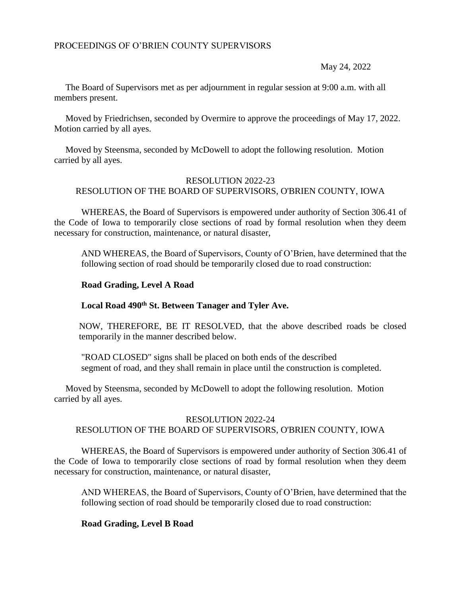## PROCEEDINGS OF O'BRIEN COUNTY SUPERVISORS

May 24, 2022

 The Board of Supervisors met as per adjournment in regular session at 9:00 a.m. with all members present.

 Moved by Friedrichsen, seconded by Overmire to approve the proceedings of May 17, 2022. Motion carried by all ayes.

 Moved by Steensma, seconded by McDowell to adopt the following resolution. Motion carried by all ayes.

#### RESOLUTION 2022-23 RESOLUTION OF THE BOARD OF SUPERVISORS, O'BRIEN COUNTY, IOWA

WHEREAS, the Board of Supervisors is empowered under authority of Section 306.41 of the Code of Iowa to temporarily close sections of road by formal resolution when they deem necessary for construction, maintenance, or natural disaster,

AND WHEREAS, the Board of Supervisors, County of O'Brien, have determined that the following section of road should be temporarily closed due to road construction:

## **Road Grading, Level A Road**

#### **Local Road 490th St. Between Tanager and Tyler Ave.**

NOW, THEREFORE, BE IT RESOLVED, that the above described roads be closed temporarily in the manner described below.

"ROAD CLOSED" signs shall be placed on both ends of the described segment of road, and they shall remain in place until the construction is completed.

 Moved by Steensma, seconded by McDowell to adopt the following resolution. Motion carried by all ayes.

# RESOLUTION 2022-24 RESOLUTION OF THE BOARD OF SUPERVISORS, O'BRIEN COUNTY, IOWA

WHEREAS, the Board of Supervisors is empowered under authority of Section 306.41 of the Code of Iowa to temporarily close sections of road by formal resolution when they deem necessary for construction, maintenance, or natural disaster,

AND WHEREAS, the Board of Supervisors, County of O'Brien, have determined that the following section of road should be temporarily closed due to road construction:

# **Road Grading, Level B Road**